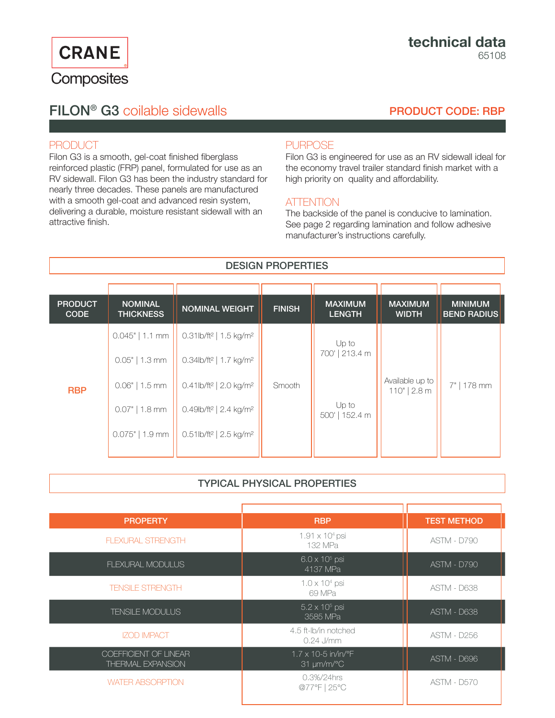**CRANE** Composites

# FILON® G3 coilable sidewalls

## PRODUCT CODE: RBP

## PRODUCT

Filon G3 is a smooth, gel-coat finished fiberglass reinforced plastic (FRP) panel, formulated for use as an RV sidewall. Filon G3 has been the industry standard for nearly three decades. These panels are manufactured with a smooth gel-coat and advanced resin system, delivering a durable, moisture resistant sidewall with an attractive finish.

## **PURPOSE**

Filon G3 is engineered for use as an RV sidewall ideal for the economy travel trailer standard finish market with a high priority on quality and affordability.

## **ATTENTION**

The backside of the panel is conducive to lamination. See page 2 regarding lamination and follow adhesive manufacturer's instructions carefully.

## DESIGN PROPERTIES

| <b>PRODUCT</b><br><b>CODE</b> | <b>NOMINAL</b><br><b>THICKNESS</b>    | <b>NOMINAL WEIGHT</b>                                                                               | <b>FINISH</b> | <b>MAXIMUM</b><br><b>LENGTH</b> | <b>MAXIMUM</b><br><b>WIDTH</b>    | <b>MINIMUM</b><br><b>BEND RADIUS</b> |
|-------------------------------|---------------------------------------|-----------------------------------------------------------------------------------------------------|---------------|---------------------------------|-----------------------------------|--------------------------------------|
| <b>RBP</b>                    | $0.045"$   1.1 mm<br>$0.05"$   1.3 mm | $0.31$ lb/ft <sup>2</sup>   1.5 kg/m <sup>2</sup><br>0.34lb/ft <sup>2</sup>   1.7 kg/m <sup>2</sup> | Smooth        | Up to<br>700'   213.4 m         | Available up to<br>$110"$   2.8 m | 7"   178 mm                          |
|                               | $0.06"$   1.5 mm                      | $0.41$ lb/ft <sup>2</sup>   2.0 kg/m <sup>2</sup>                                                   |               | Up to<br>500'   152.4 m         |                                   |                                      |
|                               | $0.07"$   1.8 mm<br>$0.075"$   1.9 mm | $0.49$ lb/ft <sup>2</sup>   2.4 kg/m <sup>2</sup><br>0.51lb/ft <sup>2</sup>   2.5 kg/m <sup>2</sup> |               |                                 |                                   |                                      |

## TYPICAL PHYSICAL PROPERTIES

| <b>RBP</b>                                                  | <b>TEST METHOD</b> |
|-------------------------------------------------------------|--------------------|
| $1.91 \times 10^{4}$ psi<br>132 MPa                         | <b>ASTM - D790</b> |
| $6.0 \times 10^5$ psi<br>4137 MPa                           | ASTM - D790        |
| $1.0 \times 10^4$ psi<br>69 MPa                             | <b>ASTM - D638</b> |
| $5.2 \times 10^5$ psi<br>3585 MPa                           | <b>ASTM - D638</b> |
| 4.5 ft-Ib/in notched<br>$0.24$ J/mm                         | <b>ASTM - D256</b> |
| $1.7 \times 10 - 5$ in/in/°F<br>$31 \mu m/m$ <sup>o</sup> C | ASTM - D696        |
| 0.3%/24hrs<br>@77°F   25°C                                  | <b>ASTM - D570</b> |
|                                                             |                    |